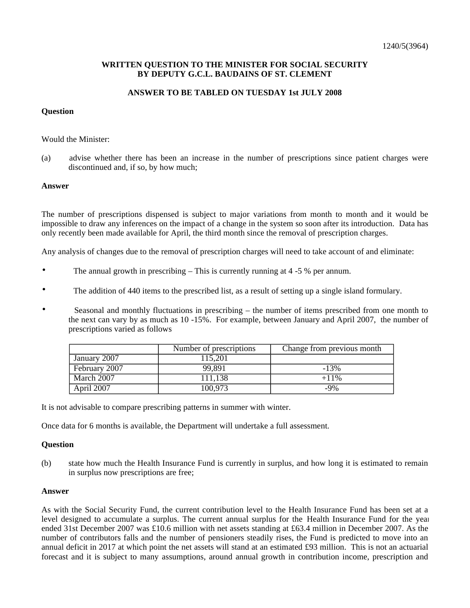# **WRITTEN QUESTION TO THE MINISTER FOR SOCIAL SECURITY BY DEPUTY G.C.L. BAUDAINS OF ST. CLEMENT**

# **ANSWER TO BE TABLED ON TUESDAY 1st JULY 2008**

### **Question**

#### Would the Minister:

(a) advise whether there has been an increase in the number of prescriptions since patient charges were discontinued and, if so, by how much;

### **Answer**

The number of prescriptions dispensed is subject to major variations from month to month and it would be impossible to draw any inferences on the impact of a change in the system so soon after its introduction. Data has only recently been made available for April, the third month since the removal of prescription charges.

Any analysis of changes due to the removal of prescription charges will need to take account of and eliminate:

- The annual growth in prescribing  $-$  This is currently running at 4  $-5$  % per annum.
- The addition of 440 items to the prescribed list, as a result of setting up a single island formulary.
- Seasonal and monthly fluctuations in prescribing the number of items prescribed from one month to the next can vary by as much as 10 -15%. For example, between January and April 2007, the number of prescriptions varied as follows

|               | Number of prescriptions | Change from previous month |
|---------------|-------------------------|----------------------------|
| January 2007  | 115.201                 |                            |
| February 2007 | 99.891                  | $-13%$                     |
| March 2007    | 111,138                 | $+11\%$                    |
| April 2007    | 100,973                 | $-9%$                      |

It is not advisable to compare prescribing patterns in summer with winter.

Once data for 6 months is available, the Department will undertake a full assessment.

#### **Question**

(b) state how much the Health Insurance Fund is currently in surplus, and how long it is estimated to remain in surplus now prescriptions are free;

#### **Answer**

As with the Social Security Fund, the current contribution level to the Health Insurance Fund has been set at a level designed to accumulate a surplus. The current annual surplus for the Health Insurance Fund for the year ended 31st December 2007 was £10.6 million with net assets standing at £63.4 million in December 2007. As the number of contributors falls and the number of pensioners steadily rises, the Fund is predicted to move into an annual deficit in 2017 at which point the net assets will stand at an estimated £93 million. This is not an actuarial forecast and it is subject to many assumptions, around annual growth in contribution income, prescription and